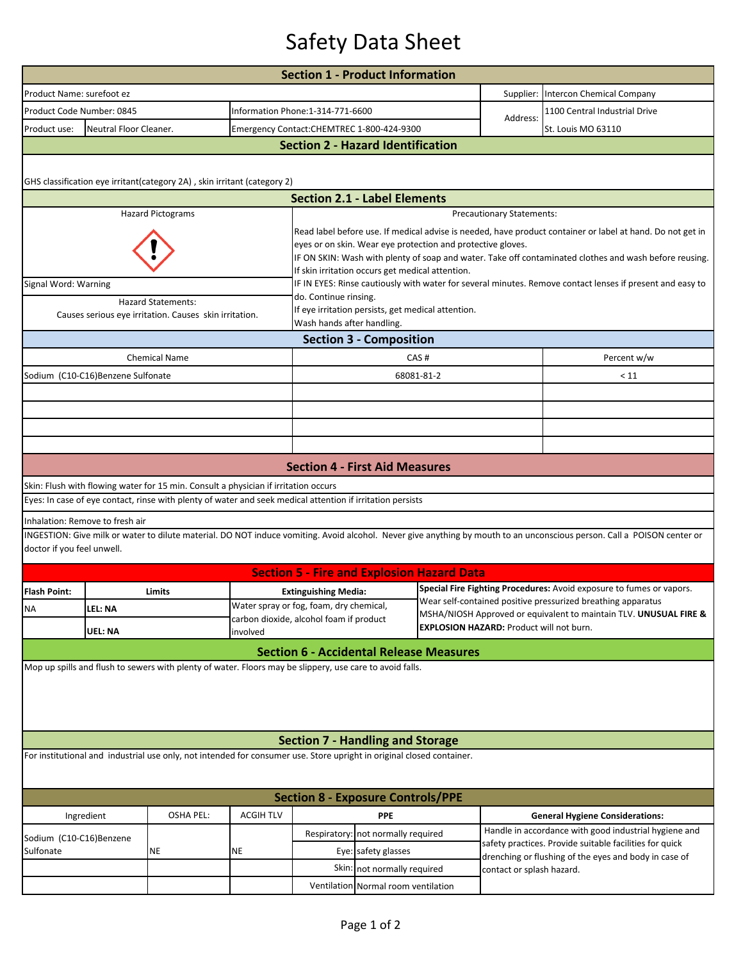## Safety Data Sheet

|                                                                |                                          |                                                                                                                       |                                                                                                        | <b>Section 1 - Product Information</b>                                                                                                                                    |                                     |                                                                                                                                   |                                                                                                                  |                                                                                                                                                                         |  |  |  |  |  |
|----------------------------------------------------------------|------------------------------------------|-----------------------------------------------------------------------------------------------------------------------|--------------------------------------------------------------------------------------------------------|---------------------------------------------------------------------------------------------------------------------------------------------------------------------------|-------------------------------------|-----------------------------------------------------------------------------------------------------------------------------------|------------------------------------------------------------------------------------------------------------------|-------------------------------------------------------------------------------------------------------------------------------------------------------------------------|--|--|--|--|--|
| Product Name: surefoot ez                                      |                                          |                                                                                                                       |                                                                                                        |                                                                                                                                                                           |                                     | Supplier: Intercon Chemical Company                                                                                               |                                                                                                                  |                                                                                                                                                                         |  |  |  |  |  |
| Product Code Number: 0845                                      |                                          |                                                                                                                       |                                                                                                        | Information Phone:1-314-771-6600                                                                                                                                          |                                     |                                                                                                                                   | Address:                                                                                                         | 1100 Central Industrial Drive                                                                                                                                           |  |  |  |  |  |
| Product use:                                                   | Neutral Floor Cleaner.                   |                                                                                                                       |                                                                                                        | Emergency Contact:CHEMTREC 1-800-424-9300                                                                                                                                 |                                     |                                                                                                                                   |                                                                                                                  | St. Louis MO 63110                                                                                                                                                      |  |  |  |  |  |
|                                                                | <b>Section 2 - Hazard Identification</b> |                                                                                                                       |                                                                                                        |                                                                                                                                                                           |                                     |                                                                                                                                   |                                                                                                                  |                                                                                                                                                                         |  |  |  |  |  |
|                                                                |                                          |                                                                                                                       |                                                                                                        |                                                                                                                                                                           |                                     |                                                                                                                                   |                                                                                                                  |                                                                                                                                                                         |  |  |  |  |  |
|                                                                |                                          | GHS classification eye irritant(category 2A), skin irritant (category 2)                                              |                                                                                                        |                                                                                                                                                                           |                                     |                                                                                                                                   |                                                                                                                  |                                                                                                                                                                         |  |  |  |  |  |
|                                                                |                                          |                                                                                                                       |                                                                                                        | <b>Section 2.1 - Label Elements</b>                                                                                                                                       |                                     |                                                                                                                                   |                                                                                                                  |                                                                                                                                                                         |  |  |  |  |  |
|                                                                |                                          | <b>Hazard Pictograms</b>                                                                                              |                                                                                                        | <b>Precautionary Statements:</b>                                                                                                                                          |                                     |                                                                                                                                   |                                                                                                                  |                                                                                                                                                                         |  |  |  |  |  |
|                                                                |                                          |                                                                                                                       |                                                                                                        | Read label before use. If medical advise is needed, have product container or label at hand. Do not get in<br>eyes or on skin. Wear eye protection and protective gloves. |                                     |                                                                                                                                   |                                                                                                                  |                                                                                                                                                                         |  |  |  |  |  |
|                                                                |                                          |                                                                                                                       | IF ON SKIN: Wash with plenty of soap and water. Take off contaminated clothes and wash before reusing. |                                                                                                                                                                           |                                     |                                                                                                                                   |                                                                                                                  |                                                                                                                                                                         |  |  |  |  |  |
| Signal Word: Warning                                           |                                          |                                                                                                                       |                                                                                                        | If skin irritation occurs get medical attention.<br>IF IN EYES: Rinse cautiously with water for several minutes. Remove contact lenses if present and easy to             |                                     |                                                                                                                                   |                                                                                                                  |                                                                                                                                                                         |  |  |  |  |  |
|                                                                |                                          | <b>Hazard Statements:</b>                                                                                             |                                                                                                        | do. Continue rinsing.                                                                                                                                                     |                                     |                                                                                                                                   |                                                                                                                  |                                                                                                                                                                         |  |  |  |  |  |
|                                                                |                                          | Causes serious eye irritation. Causes skin irritation.                                                                | If eye irritation persists, get medical attention.                                                     |                                                                                                                                                                           |                                     |                                                                                                                                   |                                                                                                                  |                                                                                                                                                                         |  |  |  |  |  |
| Wash hands after handling.                                     |                                          |                                                                                                                       |                                                                                                        |                                                                                                                                                                           |                                     |                                                                                                                                   |                                                                                                                  |                                                                                                                                                                         |  |  |  |  |  |
| <b>Section 3 - Composition</b><br><b>Chemical Name</b><br>CAS# |                                          |                                                                                                                       |                                                                                                        |                                                                                                                                                                           |                                     |                                                                                                                                   |                                                                                                                  |                                                                                                                                                                         |  |  |  |  |  |
| Sodium (C10-C16)Benzene Sulfonate                              |                                          |                                                                                                                       | 68081-81-2                                                                                             |                                                                                                                                                                           |                                     |                                                                                                                                   | Percent w/w<br>< 11                                                                                              |                                                                                                                                                                         |  |  |  |  |  |
|                                                                |                                          |                                                                                                                       |                                                                                                        |                                                                                                                                                                           |                                     |                                                                                                                                   |                                                                                                                  |                                                                                                                                                                         |  |  |  |  |  |
|                                                                |                                          |                                                                                                                       |                                                                                                        |                                                                                                                                                                           |                                     |                                                                                                                                   |                                                                                                                  |                                                                                                                                                                         |  |  |  |  |  |
|                                                                |                                          |                                                                                                                       |                                                                                                        |                                                                                                                                                                           |                                     |                                                                                                                                   |                                                                                                                  |                                                                                                                                                                         |  |  |  |  |  |
|                                                                |                                          |                                                                                                                       |                                                                                                        |                                                                                                                                                                           |                                     |                                                                                                                                   |                                                                                                                  |                                                                                                                                                                         |  |  |  |  |  |
|                                                                |                                          |                                                                                                                       |                                                                                                        | <b>Section 4 - First Aid Measures</b>                                                                                                                                     |                                     |                                                                                                                                   |                                                                                                                  |                                                                                                                                                                         |  |  |  |  |  |
|                                                                |                                          | Skin: Flush with flowing water for 15 min. Consult a physician if irritation occurs                                   |                                                                                                        |                                                                                                                                                                           |                                     |                                                                                                                                   |                                                                                                                  |                                                                                                                                                                         |  |  |  |  |  |
|                                                                |                                          | Eyes: In case of eye contact, rinse with plenty of water and seek medical attention if irritation persists            |                                                                                                        |                                                                                                                                                                           |                                     |                                                                                                                                   |                                                                                                                  |                                                                                                                                                                         |  |  |  |  |  |
| Inhalation: Remove to fresh air                                |                                          |                                                                                                                       |                                                                                                        |                                                                                                                                                                           |                                     |                                                                                                                                   |                                                                                                                  |                                                                                                                                                                         |  |  |  |  |  |
|                                                                |                                          |                                                                                                                       |                                                                                                        |                                                                                                                                                                           |                                     |                                                                                                                                   |                                                                                                                  | INGESTION: Give milk or water to dilute material. DO NOT induce vomiting. Avoid alcohol. Never give anything by mouth to an unconscious person. Call a POISON center or |  |  |  |  |  |
| doctor if you feel unwell.                                     |                                          |                                                                                                                       |                                                                                                        |                                                                                                                                                                           |                                     |                                                                                                                                   |                                                                                                                  |                                                                                                                                                                         |  |  |  |  |  |
|                                                                |                                          |                                                                                                                       |                                                                                                        | <b>Section 5 - Fire and Explosion Hazard Data</b>                                                                                                                         |                                     |                                                                                                                                   |                                                                                                                  |                                                                                                                                                                         |  |  |  |  |  |
| <b>Flash Point:</b>                                            |                                          | Limits                                                                                                                |                                                                                                        | <b>Extinguishing Media:</b>                                                                                                                                               |                                     |                                                                                                                                   |                                                                                                                  | Special Fire Fighting Procedures: Avoid exposure to fumes or vapors.                                                                                                    |  |  |  |  |  |
| <b>NA</b>                                                      | LEL: NA                                  |                                                                                                                       |                                                                                                        | Water spray or fog, foam, dry chemical,<br>carbon dioxide, alcohol foam if product                                                                                        |                                     | Wear self-contained positive pressurized breathing apparatus<br>MSHA/NIOSH Approved or equivalent to maintain TLV. UNUSUAL FIRE & |                                                                                                                  |                                                                                                                                                                         |  |  |  |  |  |
|                                                                | <b>UEL: NA</b><br>involved               |                                                                                                                       |                                                                                                        |                                                                                                                                                                           |                                     |                                                                                                                                   | <b>EXPLOSION HAZARD: Product will not burn.</b>                                                                  |                                                                                                                                                                         |  |  |  |  |  |
|                                                                |                                          |                                                                                                                       |                                                                                                        | <b>Section 6 - Accidental Release Measures</b>                                                                                                                            |                                     |                                                                                                                                   |                                                                                                                  |                                                                                                                                                                         |  |  |  |  |  |
|                                                                |                                          | Mop up spills and flush to sewers with plenty of water. Floors may be slippery, use care to avoid falls.              |                                                                                                        |                                                                                                                                                                           |                                     |                                                                                                                                   |                                                                                                                  |                                                                                                                                                                         |  |  |  |  |  |
|                                                                |                                          |                                                                                                                       |                                                                                                        |                                                                                                                                                                           |                                     |                                                                                                                                   |                                                                                                                  |                                                                                                                                                                         |  |  |  |  |  |
|                                                                |                                          |                                                                                                                       |                                                                                                        |                                                                                                                                                                           |                                     |                                                                                                                                   |                                                                                                                  |                                                                                                                                                                         |  |  |  |  |  |
|                                                                |                                          |                                                                                                                       |                                                                                                        |                                                                                                                                                                           |                                     |                                                                                                                                   |                                                                                                                  |                                                                                                                                                                         |  |  |  |  |  |
|                                                                |                                          |                                                                                                                       |                                                                                                        | <b>Section 7 - Handling and Storage</b>                                                                                                                                   |                                     |                                                                                                                                   |                                                                                                                  |                                                                                                                                                                         |  |  |  |  |  |
|                                                                |                                          | For institutional and industrial use only, not intended for consumer use. Store upright in original closed container. |                                                                                                        |                                                                                                                                                                           |                                     |                                                                                                                                   |                                                                                                                  |                                                                                                                                                                         |  |  |  |  |  |
|                                                                |                                          |                                                                                                                       |                                                                                                        |                                                                                                                                                                           |                                     |                                                                                                                                   |                                                                                                                  |                                                                                                                                                                         |  |  |  |  |  |
| <b>Section 8 - Exposure Controls/PPE</b>                       |                                          |                                                                                                                       |                                                                                                        |                                                                                                                                                                           |                                     |                                                                                                                                   |                                                                                                                  |                                                                                                                                                                         |  |  |  |  |  |
| Ingredient                                                     |                                          | <b>OSHA PEL:</b>                                                                                                      | <b>ACGIH TLV</b>                                                                                       |                                                                                                                                                                           | <b>PPE</b>                          |                                                                                                                                   |                                                                                                                  | <b>General Hygiene Considerations:</b>                                                                                                                                  |  |  |  |  |  |
| Sodium (C10-C16)Benzene                                        |                                          | ΝE                                                                                                                    | NE                                                                                                     | Respiratory: not normally required                                                                                                                                        |                                     |                                                                                                                                   | Handle in accordance with good industrial hygiene and<br>safety practices. Provide suitable facilities for quick |                                                                                                                                                                         |  |  |  |  |  |
| Sulfonate                                                      |                                          |                                                                                                                       |                                                                                                        | Eye: safety glasses                                                                                                                                                       |                                     |                                                                                                                                   |                                                                                                                  | drenching or flushing of the eyes and body in case of                                                                                                                   |  |  |  |  |  |
|                                                                |                                          |                                                                                                                       |                                                                                                        |                                                                                                                                                                           | Skin: not normally required         |                                                                                                                                   | contact or splash hazard.                                                                                        |                                                                                                                                                                         |  |  |  |  |  |
|                                                                |                                          |                                                                                                                       |                                                                                                        |                                                                                                                                                                           | Ventilation Normal room ventilation |                                                                                                                                   |                                                                                                                  |                                                                                                                                                                         |  |  |  |  |  |
|                                                                |                                          |                                                                                                                       |                                                                                                        |                                                                                                                                                                           |                                     |                                                                                                                                   |                                                                                                                  |                                                                                                                                                                         |  |  |  |  |  |